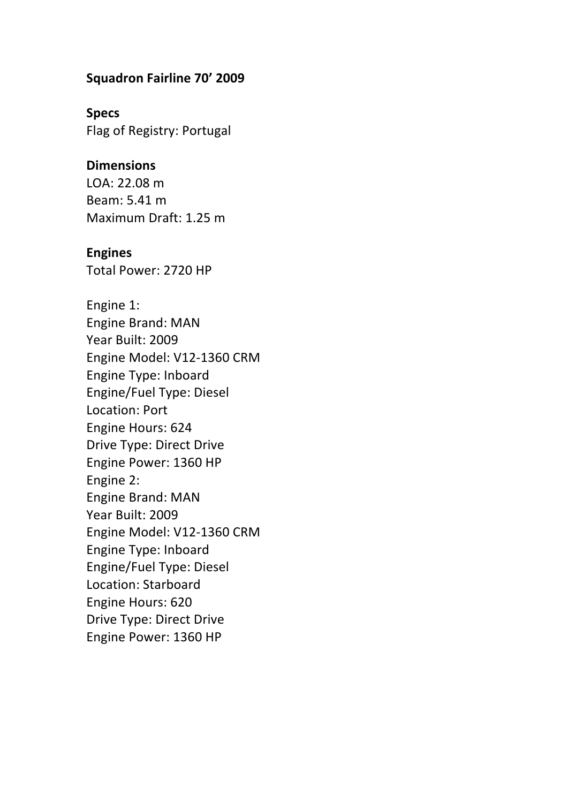#### **Squadron Fairline 70' 2009**

**Specs** Flag of Registry: Portugal

#### **Dimensions**

LOA: 22.08 m Beam: 5.41 m Maximum Draft: 1.25 m

#### **Engines**

Total Power: 2720 HP

Engine 1: Engine Brand: MAN Year Built: 2009 Engine Model: V12-1360 CRM Engine Type: Inboard Engine/Fuel Type: Diesel Location: Port Engine Hours: 624 Drive Type: Direct Drive Engine Power: 1360 HP Engine 2: Engine Brand: MAN Year Built: 2009 Engine Model: V12-1360 CRM Engine Type: Inboard Engine/Fuel Type: Diesel Location: Starboard Engine Hours: 620 Drive Type: Direct Drive Engine Power: 1360 HP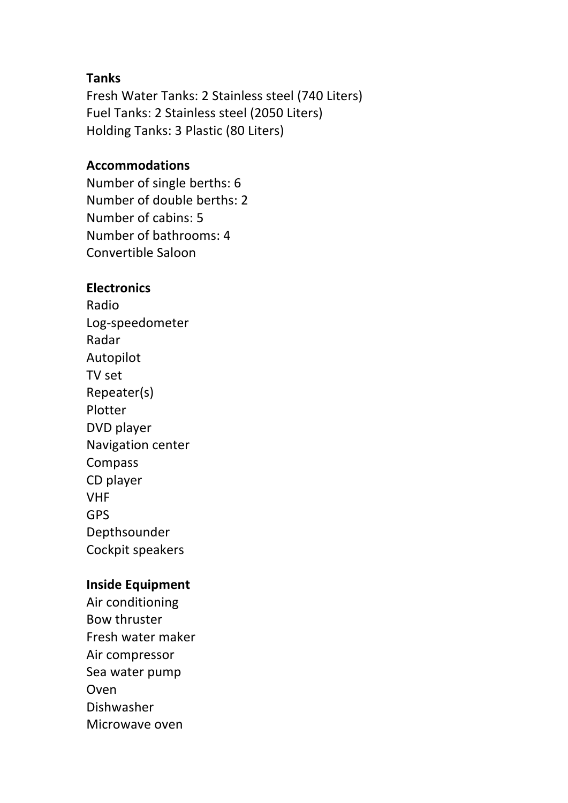#### **Tanks**

Fresh Water Tanks: 2 Stainless steel (740 Liters) Fuel Tanks: 2 Stainless steel (2050 Liters) Holding Tanks: 3 Plastic (80 Liters)

### **Accommodations**

Number of single berths: 6 Number of double berths: 2 Number of cabins: 5 Number of bathrooms: 4 Convertible Saloon

### **Electronics**

Radio Log-speedometer Radar Autopilot TV set Repeater(s) Plotter DVD player Navigation center Compass CD player VHF GPS Depthsounder Cockpit speakers

### **Inside Equipment**

Air conditioning Bow thruster Fresh water maker Air compressor Sea water pump Oven Dishwasher Microwave oven